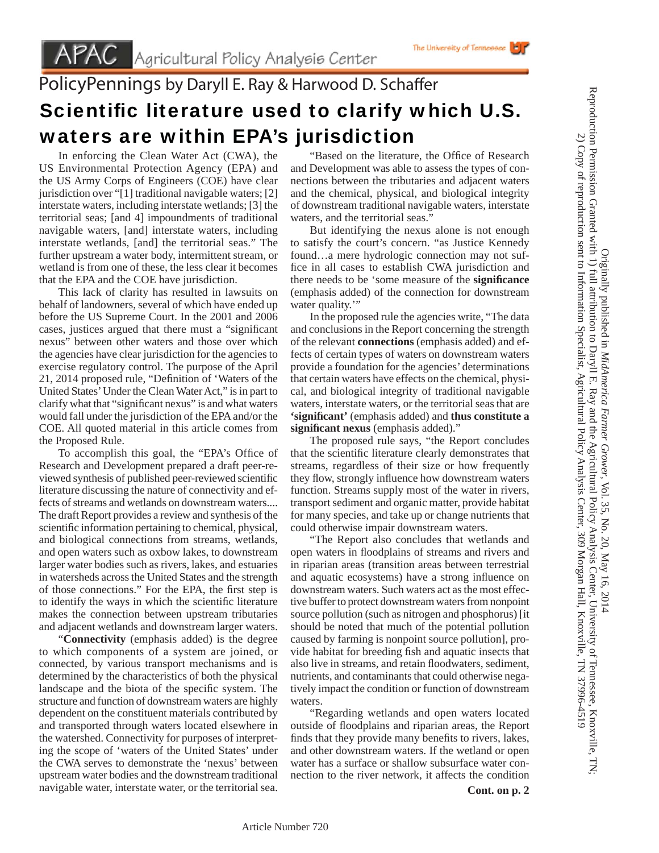## PolicyPennings by Daryll E. Ray & Harwood D. Schaffer Scientific literature used to clarify which U.S. waters are within EPA's jurisdiction

 In enforcing the Clean Water Act (CWA), the US Environmental Protection Agency (EPA) and the US Army Corps of Engineers (COE) have clear jurisdiction over "[1] traditional navigable waters; [2] interstate waters, including interstate wetlands; [3] the territorial seas; [and 4] impoundments of traditional navigable waters, [and] interstate waters, including interstate wetlands, [and] the territorial seas." The further upstream a water body, intermittent stream, or wetland is from one of these, the less clear it becomes that the EPA and the COE have jurisdiction.

 This lack of clarity has resulted in lawsuits on behalf of landowners, several of which have ended up before the US Supreme Court. In the 2001 and 2006 cases, justices argued that there must a "significant" nexus" between other waters and those over which the agencies have clear jurisdiction for the agencies to exercise regulatory control. The purpose of the April 21, 2014 proposed rule, "Definition of 'Waters of the United States' Under the Clean Water Act," is in part to clarify what that "significant nexus" is and what waters would fall under the jurisdiction of the EPA and/or the COE. All quoted material in this article comes from the Proposed Rule.

To accomplish this goal, the "EPA's Office of Research and Development prepared a draft peer-reviewed synthesis of published peer-reviewed scientific literature discussing the nature of connectivity and effects of streams and wetlands on downstream waters.... The draft Report provides a review and synthesis of the scientific information pertaining to chemical, physical, and biological connections from streams, wetlands, and open waters such as oxbow lakes, to downstream larger water bodies such as rivers, lakes, and estuaries in watersheds across the United States and the strength of those connections." For the EPA, the first step is to identify the ways in which the scientific literature makes the connection between upstream tributaries and adjacent wetlands and downstream larger waters.

 "**Connectivity** (emphasis added) is the degree to which components of a system are joined, or connected, by various transport mechanisms and is determined by the characteristics of both the physical landscape and the biota of the specific system. The structure and function of downstream waters are highly dependent on the constituent materials contributed by and transported through waters located elsewhere in the watershed. Connectivity for purposes of interpreting the scope of 'waters of the United States' under the CWA serves to demonstrate the 'nexus' between upstream water bodies and the downstream traditional navigable water, interstate water, or the territorial sea.

"Based on the literature, the Office of Research" and Development was able to assess the types of connections between the tributaries and adjacent waters and the chemical, physical, and biological integrity of downstream traditional navigable waters, interstate waters, and the territorial seas."

The University of Tennessee

 But identifying the nexus alone is not enough to satisfy the court's concern. "as Justice Kennedy found…a mere hydrologic connection may not suffice in all cases to establish CWA jurisdiction and there needs to be 'some measure of the **signifi cance**  (emphasis added) of the connection for downstream water quality."

 In the proposed rule the agencies write, "The data and conclusions in the Report concerning the strength of the relevant **connections** (emphasis added) and effects of certain types of waters on downstream waters provide a foundation for the agencies' determinations that certain waters have effects on the chemical, physical, and biological integrity of traditional navigable waters, interstate waters, or the territorial seas that are **'signifi cant'** (emphasis added) and **thus constitute a significant nexus** (emphasis added)."

 The proposed rule says, "the Report concludes that the scientific literature clearly demonstrates that streams, regardless of their size or how frequently they flow, strongly influence how downstream waters function. Streams supply most of the water in rivers, transport sediment and organic matter, provide habitat for many species, and take up or change nutrients that could otherwise impair downstream waters.

 "The Report also concludes that wetlands and open waters in floodplains of streams and rivers and in riparian areas (transition areas between terrestrial and aquatic ecosystems) have a strong influence on downstream waters. Such waters act as the most effective buffer to protect downstream waters from nonpoint source pollution (such as nitrogen and phosphorus) [it should be noted that much of the potential pollution caused by farming is nonpoint source pollution], provide habitat for breeding fish and aquatic insects that also live in streams, and retain floodwaters, sediment, nutrients, and contaminants that could otherwise negatively impact the condition or function of downstream waters.

 "Regarding wetlands and open waters located outside of floodplains and riparian areas, the Report finds that they provide many benefits to rivers, lakes, and other downstream waters. If the wetland or open water has a surface or shallow subsurface water connection to the river network, it affects the condition

**Cont. on p. 2**